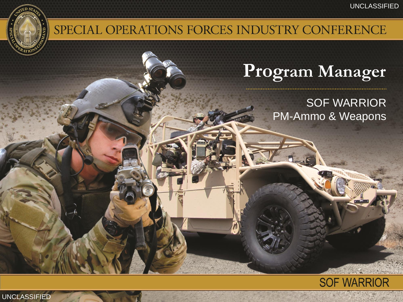

## SPECIAL OPERATIONS FORCES INDUSTRY CONFERENCE

# **Program Manager**

SOF WARRIOR PM-Ammo & Weapons



UNCLASSIFIED UNCLASSIFIED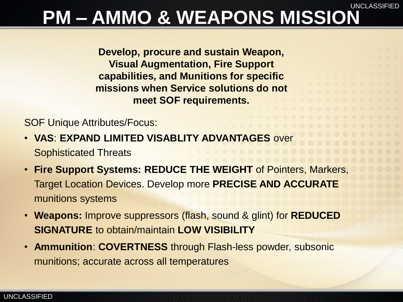### UNCLASSIFIED **PM – AMMO & WEAPONS MISSION**

**Develop, procure and sustain Weapon, Visual Augmentation, Fire Support capabilities, and Munitions for specific missions when Service solutions do not meet SOF requirements.**

SOF Unique Attributes/Focus:

- **VAS**: **EXPAND LIMITED VISABLITY ADVANTAGES** over Sophisticated Threats
- **Fire Support Systems: REDUCE THE WEIGHT** of Pointers, Markers, Target Location Devices. Develop more **PRECISE AND ACCURATE**  munitions systems
- **Weapons:** Improve suppressors (flash, sound & glint) for **REDUCED SIGNATURE** to obtain/maintain **LOW VISIBILITY**
- **Ammunition**: **COVERTNESS** through Flash-less powder, subsonic munitions; accurate across all temperatures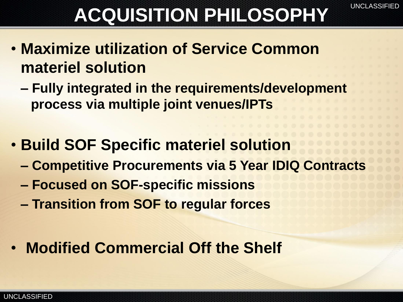# ACQUISITION PHILOSOPHY<sup>UNCLASSIFIED</sup>

- **Maximize utilization of Service Common materiel solution**
	- **– Fully integrated in the requirements/development process via multiple joint venues/IPTs**
- **Build SOF Specific materiel solution**
	- **– Competitive Procurements via 5 Year IDIQ Contracts**
	- **– Focused on SOF-specific missions**
	- **– Transition from SOF to regular forces**
- **Modified Commercial Off the Shelf**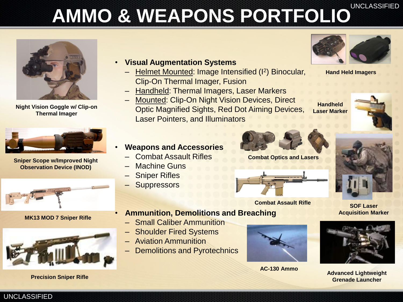# **AMMO & WEAPONS PORTFOLIO**UNCLASSIFIED



**Night Vision Goggle w/ Clip-on Thermal Imager**



**Sniper Scope w/Improved Night Observation Device (INOD)**



**MK13 MOD 7 Sniper Rifle**



### • **Visual Augmentation Systems**

- Helmet Mounted: Image Intensified (<sup>2</sup>) Binocular, Clip-On Thermal Imager, Fusion
- Handheld: Thermal Imagers, Laser Markers
- Mounted: Clip-On Night Vision Devices, Direct Optic Magnified Sights, Red Dot Aiming Devices, Laser Pointers, and Illuminators



**Hand Held Imagers**

**Handheld Laser Marker**



**Combat Optics and Lasers**





**SOF Laser Acquisition Marker**

**Combat Assault Rifle**

#### • **Ammunition, Demolitions and Breaching**

- Small Caliber Ammunition
- **Shoulder Fired Systems**
- Aviation Ammunition
- Demolitions and Pyrotechnics



**AC-130 Ammo**



**Precision Sniper Rifle Advanced Lightweight Advanced Lightweight Advanced Lightweight Advanced Lightweight Grenade Launcher**

### • **Weapons and Accessories**

- Combat Assault Rifles
- Machine Guns
- **Sniper Rifles**
- **Suppressors**